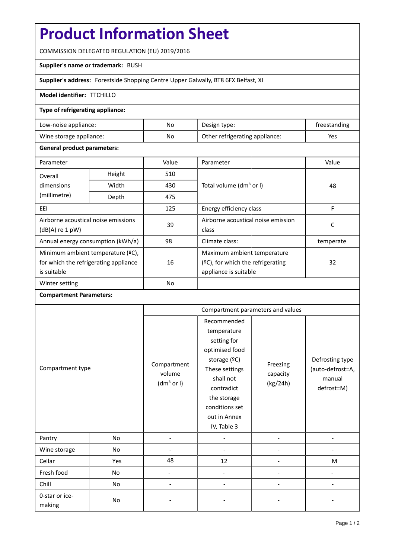# **Product Information Sheet**

COMMISSION DELEGATED REGULATION (EU) 2019/2016

#### **Supplier's name or trademark:** BUSH

**Supplier's address:** Forestside Shopping Centre Upper Galwally, BT8 6FX Belfast, XI

## **Model identifier:** TTCHILLO

### **Type of refrigerating appliance:**

| Low-noise appliance:    | No | Design type:                   | treestanding |
|-------------------------|----|--------------------------------|--------------|
| Wine storage appliance: | No | Other refrigerating appliance: | Yes          |

### **General product parameters:**

| Parameter                             |       | Value     | Parameter                            | Value     |  |
|---------------------------------------|-------|-----------|--------------------------------------|-----------|--|
| Height<br>Overall                     |       | 510       |                                      |           |  |
| dimensions                            | Width | 430       | Total volume (dm <sup>3</sup> or I)  | 48        |  |
| (millimetre)                          | Depth | 475       |                                      |           |  |
| EEI                                   |       | 125       | Energy efficiency class              | F         |  |
| Airborne acoustical noise emissions   |       | 39        | Airborne acoustical noise emission   | С         |  |
| $(dB(A)$ re 1 pW)                     |       |           | class                                |           |  |
| Annual energy consumption (kWh/a)     |       | 98        | Climate class:                       | temperate |  |
| Minimum ambient temperature (°C),     |       |           | Maximum ambient temperature          |           |  |
| for which the refrigerating appliance |       | 16        | $(2C)$ , for which the refrigerating | 32        |  |
| is suitable                           |       |           | appliance is suitable                |           |  |
| Winter setting                        |       | <b>No</b> |                                      |           |  |

### **Compartment Parameters:**

| Compartment type         |     | Compartment parameters and values               |                                                                                                                                                                                          |                                  |                                                             |
|--------------------------|-----|-------------------------------------------------|------------------------------------------------------------------------------------------------------------------------------------------------------------------------------------------|----------------------------------|-------------------------------------------------------------|
|                          |     | Compartment<br>volume<br>(dm <sup>3</sup> or I) | Recommended<br>temperature<br>setting for<br>optimised food<br>storage (°C)<br>These settings<br>shall not<br>contradict<br>the storage<br>conditions set<br>out in Annex<br>IV, Table 3 | Freezing<br>capacity<br>(kg/24h) | Defrosting type<br>(auto-defrost=A,<br>manual<br>defrost=M) |
| Pantry                   | No  |                                                 |                                                                                                                                                                                          |                                  |                                                             |
| Wine storage             | No  |                                                 |                                                                                                                                                                                          |                                  |                                                             |
| Cellar                   | Yes | 48                                              | 12                                                                                                                                                                                       |                                  | M                                                           |
| Fresh food               | No  |                                                 |                                                                                                                                                                                          |                                  |                                                             |
| Chill                    | No  |                                                 |                                                                                                                                                                                          |                                  |                                                             |
| 0-star or ice-<br>making | No  |                                                 |                                                                                                                                                                                          |                                  |                                                             |